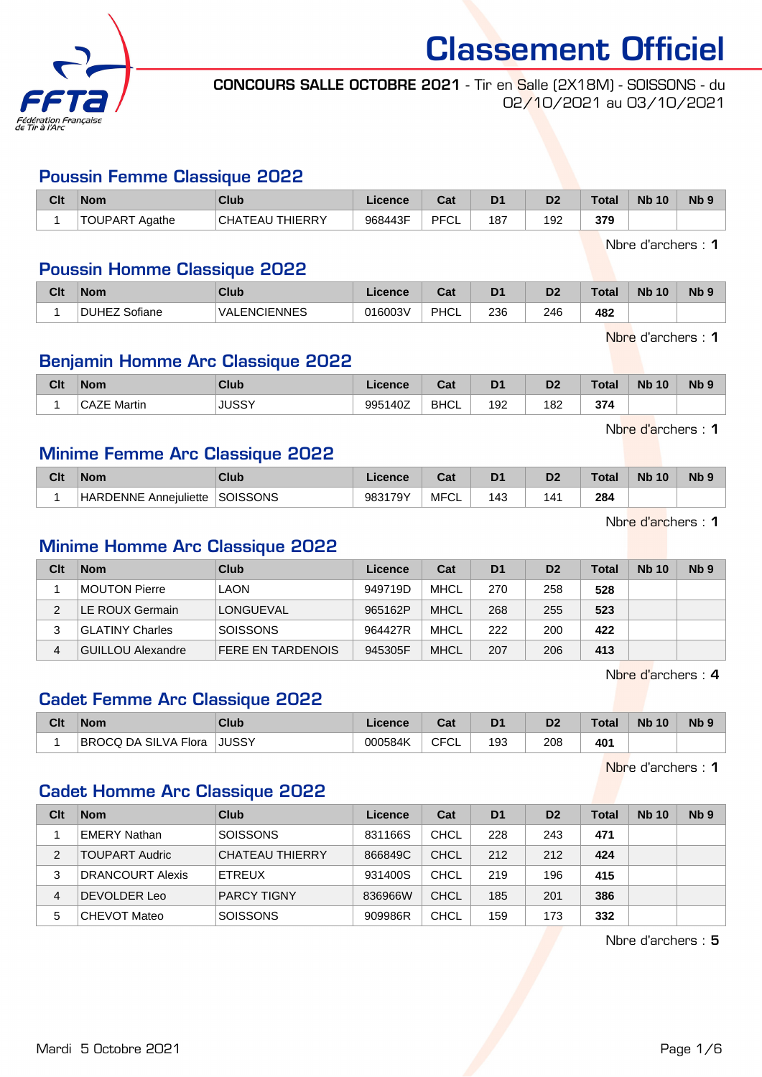

Classement Officiel CONCOURS SALLE OCTOBRE 2021 - Tir en Salle (2X18M) - SOISSONS - du

02/10/2021 au 03/10/2021

#### Poussin Femme Classique 2022

| Clt | Nom                   | Club                   | Licence | $R_{\rm eff}$<br>ual | D <sub>1</sub> | D2  | <b>Total</b> | <b>N<sub>b</sub></b><br>10 | N <sub>b</sub> 9 |
|-----|-----------------------|------------------------|---------|----------------------|----------------|-----|--------------|----------------------------|------------------|
|     | <b>TOUPART Agathe</b> | <b>CHATEAU THIERRY</b> | 968443F | PFCL                 | 187            | 192 | 379          |                            |                  |

Nbre d'archers : 1

#### Poussin Homme Classique 2022

| Clt | <b>Nom</b>    | Club                     | Licence | <b>Pat</b><br>⊍aι | D <sub>1</sub> | D <sub>2</sub> | Total | <b>N<sub>b</sub></b><br>10 <sup>°</sup> | N <sub>b</sub> <sub>9</sub> |
|-----|---------------|--------------------------|---------|-------------------|----------------|----------------|-------|-----------------------------------------|-----------------------------|
|     | DUHEZ Sofiane | <b>ENCIENNES</b><br>VAL. | 016003V | PHCL              | 236            | 246            | 482   |                                         |                             |

Nbre d'archers : 1

#### Benjamin Homme Arc Classique 2022

| Clt | <b>Nom</b>             | Club         | Licence      | ◠⌒ィ<br>ual  | D <sub>1</sub> | D <sub>2</sub> | Total | <b>Nb</b><br>10 <sup>°</sup> | N <sub>b</sub> <sub>9</sub> |
|-----|------------------------|--------------|--------------|-------------|----------------|----------------|-------|------------------------------|-----------------------------|
|     | $\sim$<br>フロ<br>Martin | <b>JUSSY</b> | 140Z<br>9951 | <b>BHCL</b> | 192            | 182            | 374   |                              |                             |

Nbre d'archers : 1

#### Minime Femme Arc Classique 2022

| Clt | <b>Nom</b>            | Club     | <b>Licence</b> | ∼~∗<br>ua | D <sub>1</sub> |     | 'otal | <b>Nb 10</b> | N <sub>b</sub> 9 |
|-----|-----------------------|----------|----------------|-----------|----------------|-----|-------|--------------|------------------|
|     | HARDENNE Annejuliette | SOISSONS | 983179Y        | MFC<br>◡∟ | 143            | 141 | 284   |              |                  |

Nbre d'archers : 1

#### Minime Homme Arc Classique 2022

| Clt | <b>Nom</b>        | Club                     | Licence | Cat         | D <sub>1</sub> | D <sub>2</sub> | <b>Total</b> | <b>Nb</b> 10 | Nb <sub>9</sub> |
|-----|-------------------|--------------------------|---------|-------------|----------------|----------------|--------------|--------------|-----------------|
|     | MOUTON Pierre     | LAON                     | 949719D | MHCL        | 270            | 258            | 528          |              |                 |
| 2   | LE ROUX Germain   | <b>LONGUEVAL</b>         | 965162P | <b>MHCL</b> | 268            | 255            | 523          |              |                 |
| 3   | GLATINY Charles   | <b>SOISSONS</b>          | 964427R | MHCL        | 222            | 200            | 422          |              |                 |
| 4   | GUILLOU Alexandre | <b>FERE EN TARDENOIS</b> | 945305F | <b>MHCL</b> | 207            | 206            | 413          |              |                 |

Nbre d'archers : 4

## Cadet Femme Arc Classique 2022

| Clt | <b>Nom</b>           | Club         | ∟icence | $\sim$<br>ual     | D1  | D2  | <b>Total</b> | <b>Nb 10</b> | <b>N<sub>b</sub></b> |
|-----|----------------------|--------------|---------|-------------------|-----|-----|--------------|--------------|----------------------|
|     | BROCQ DA SILVA Flora | <b>JUSSY</b> | 000584K | $\sim$<br>◡∟<br>◡ | 193 | 208 | 401          |              |                      |

Nbre d'archers : 1

#### Cadet Homme Arc Classique 2022

| Clt | <b>Nom</b>          | Club               | Licence | Cat         | D <sub>1</sub> | D <sub>2</sub> | <b>Total</b> | <b>Nb 10</b> | Nb <sub>9</sub> |
|-----|---------------------|--------------------|---------|-------------|----------------|----------------|--------------|--------------|-----------------|
|     | ⊺EMERY Nathan       | <b>SOISSONS</b>    | 831166S | CHCL        | 228            | 243            | 471          |              |                 |
| 2   | TOUPART Audric      | CHATEAU THIERRY    | 866849C | CHCL        | 212            | 212            | 424          |              |                 |
| 3   | DRANCOURT Alexis    | ETREUX             | 931400S | CHCL        | 219            | 196            | 415          |              |                 |
| 4   | DEVOLDER Leo        | <b>PARCY TIGNY</b> | 836966W | CHCL        | 185            | 201            | 386          |              |                 |
| 5   | <b>CHEVOT Mateo</b> | <b>SOISSONS</b>    | 909986R | <b>CHCL</b> | 159            | 173            | 332          |              |                 |

Nbre d'archers : 5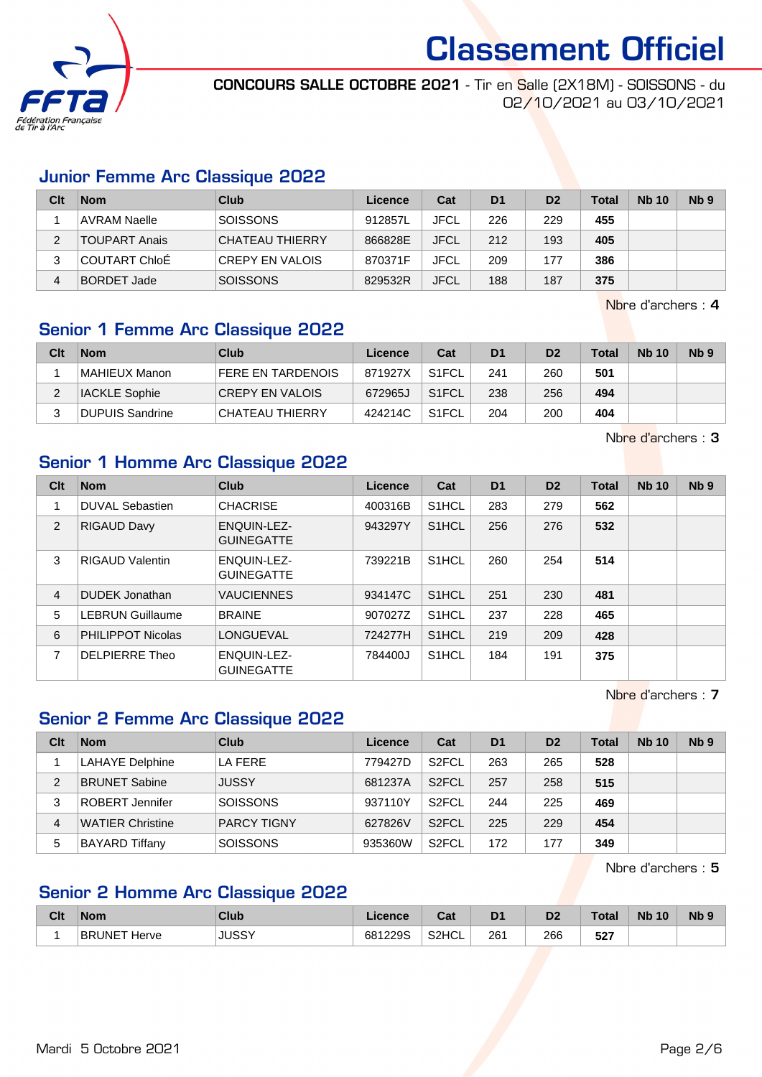

CONCOURS SALLE OCTOBRE 2021 - Tir en Salle (2X18M) - SOISSONS - du 02/10/2021 au 03/10/2021

#### Junior Femme Arc Classique 2022

| Clt | <b>Nom</b>           | Club                    | Licence | Cat         | D <sub>1</sub> | D <sub>2</sub> | <b>Total</b> | <b>Nb 10</b> | Nb <sub>9</sub> |
|-----|----------------------|-------------------------|---------|-------------|----------------|----------------|--------------|--------------|-----------------|
|     | <b>AVRAM Naelle</b>  | <b>SOISSONS</b>         | 912857L | <b>JFCL</b> | 226            | 229            | 455          |              |                 |
|     | <b>TOUPART Anais</b> | <b>ICHATEAU THIERRY</b> | 866828E | <b>JFCL</b> | 212            | 193            | 405          |              |                 |
|     | COUTART ChloÉ        | <b>CREPY EN VALOIS</b>  | 870371F | <b>JFCL</b> | 209            | 177            | 386          |              |                 |
| 4   | <b>BORDET Jade</b>   | <b>SOISSONS</b>         | 829532R | <b>JFCL</b> | 188            | 187            | 375          |              |                 |

Nbre d'archers : 4

#### Senior 1 Femme Arc Classique 2022

| Clt | <b>Nom</b>             | <b>Club</b>              | Licence | Cat                | D <sub>1</sub> | D <sub>2</sub> | <b>Total</b> | <b>Nb 10</b> | Nb <sub>9</sub> |
|-----|------------------------|--------------------------|---------|--------------------|----------------|----------------|--------------|--------------|-----------------|
|     | MAHIEUX Manon          | <b>FERE EN TARDENOIS</b> | 871927X | S <sub>1</sub> FCL | 241            | 260            | 501          |              |                 |
|     | IACKLE Sophie          | <b>CREPY EN VALOIS</b>   | 672965J | S <sub>1</sub> FCL | 238            | 256            | 494          |              |                 |
|     | <b>DUPUIS Sandrine</b> | CHATEAU THIERRY          | 424214C | S <sub>1</sub> FCL | 204            | 200            | 404          |              |                 |

Nbre d'archers : 3

### Senior 1 Homme Arc Classique 2022

| Clt | <b>Nom</b>               | <b>Club</b>                             | Licence | Cat                | D <sub>1</sub> | D <sub>2</sub> | <b>Total</b> | <b>Nb 10</b> | Nb <sub>9</sub> |
|-----|--------------------------|-----------------------------------------|---------|--------------------|----------------|----------------|--------------|--------------|-----------------|
|     | <b>DUVAL Sebastien</b>   | <b>CHACRISE</b>                         | 400316B | S <sub>1</sub> HCL | 283            | 279            | 562          |              |                 |
| 2   | <b>RIGAUD Davy</b>       | <b>ENQUIN-LEZ-</b><br><b>GUINEGATTE</b> | 943297Y | S <sub>1</sub> HCL | 256            | 276            | 532          |              |                 |
| 3   | <b>RIGAUD Valentin</b>   | <b>ENQUIN-LEZ-</b><br><b>GUINEGATTE</b> | 739221B | S <sub>1</sub> HCL | 260            | 254            | 514          |              |                 |
| 4   | DUDEK Jonathan           | <b>VAUCIENNES</b>                       | 934147C | S <sub>1</sub> HCL | 251            | 230            | 481          |              |                 |
| 5   | <b>LEBRUN Guillaume</b>  | <b>BRAINE</b>                           | 907027Z | S <sub>1</sub> HCL | 237            | 228            | 465          |              |                 |
| 6   | <b>PHILIPPOT Nicolas</b> | LONGUEVAL                               | 724277H | S <sub>1</sub> HCL | 219            | 209            | 428          |              |                 |
| 7   | DELPIERRE Theo           | <b>ENQUIN-LEZ-</b><br><b>GUINEGATTE</b> | 784400J | S <sub>1</sub> HCL | 184            | 191            | 375          |              |                 |

Nbre d'archers : 7

#### Senior 2 Femme Arc Classique 2022

| Clt | <b>Nom</b>             | Club               | Licence | Cat                | D <sub>1</sub> | D <sub>2</sub> | Total | <b>Nb 10</b> | N <sub>b</sub> <sub>9</sub> |
|-----|------------------------|--------------------|---------|--------------------|----------------|----------------|-------|--------------|-----------------------------|
|     | <b>LAHAYE Delphine</b> | LA FERE            | 779427D | S <sub>2</sub> FCL | 263            | 265            | 528   |              |                             |
| 2   | BRUNET Sabine          | JUSSY              | 681237A | S <sub>2</sub> FCL | 257            | 258            | 515   |              |                             |
| 3   | ROBERT Jennifer        | <b>SOISSONS</b>    | 937110Y | S <sub>2</sub> FCL | 244            | 225            | 469   |              |                             |
| 4   | WATIER Christine       | <b>PARCY TIGNY</b> | 627826V | S <sub>2</sub> FCL | 225            | 229            | 454   |              |                             |
| 5   | BAYARD Tiffany         | <b>SOISSONS</b>    | 935360W | S <sub>2</sub> FCL | 172            | 177            | 349   |              |                             |

Nbre d'archers : 5

#### Senior 2 Homme Arc Classique 2022

| Clt | <b>Nom</b>             | Club  | Licence | ◠∼<br>⊍a | D <sub>1</sub> | D2        | ⊺otal       | <b>Nb</b><br>10 | N <sub>b</sub> <sub>9</sub> |
|-----|------------------------|-------|---------|----------|----------------|-----------|-------------|-----------------|-----------------------------|
|     | <b>BRUNET</b><br>Herve | JUSSY | 681229S | S2HCL    | 261<br>___     | 266<br>__ | 527<br>$ -$ |                 |                             |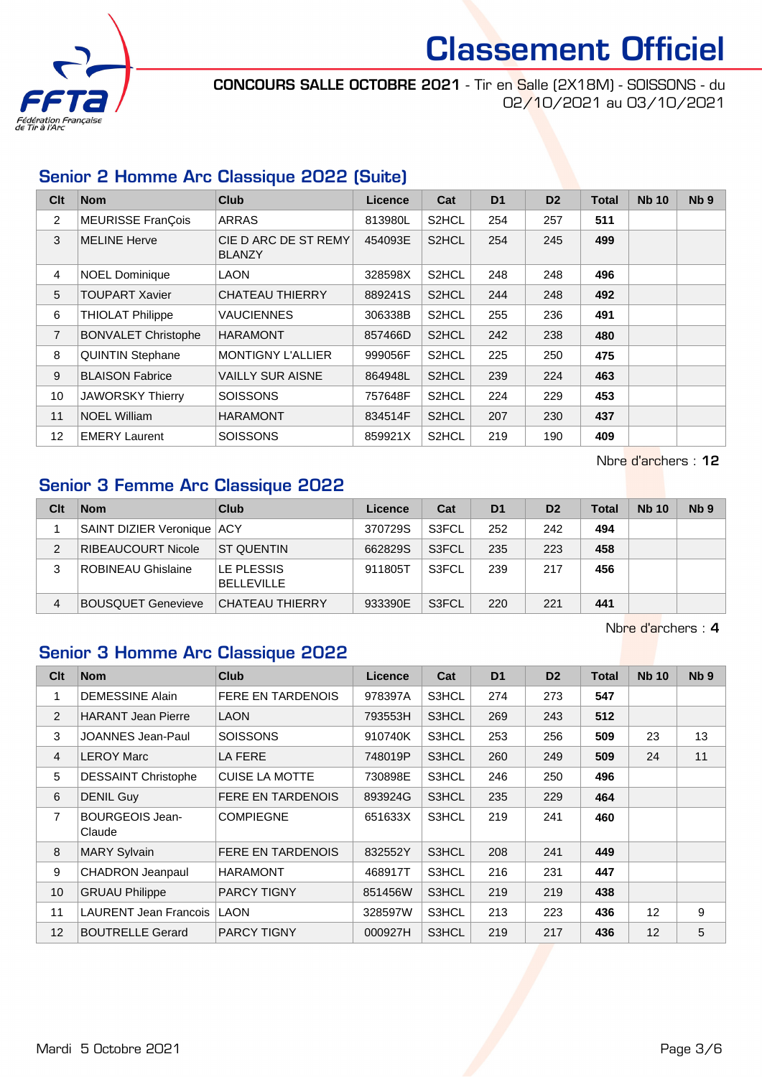

CONCOURS SALLE OCTOBRE 2021 - Tir en Salle (2X18M) - SOISSONS - du 02/10/2021 au 03/10/2021

#### Senior 2 Homme Arc Classique 2022 (Suite)

| Clt            | <b>Nom</b>                 | <b>Club</b>                           | Licence | Cat                | D <sub>1</sub> | D <sub>2</sub> | <b>Total</b> | <b>Nb 10</b> | N <sub>b</sub> <sub>9</sub> |
|----------------|----------------------------|---------------------------------------|---------|--------------------|----------------|----------------|--------------|--------------|-----------------------------|
| $\overline{2}$ | <b>MEURISSE FranÇois</b>   | <b>ARRAS</b>                          | 813980L | S <sub>2</sub> HCL | 254            | 257            | 511          |              |                             |
| 3              | <b>MELINE Herve</b>        | CIE D ARC DE ST REMY<br><b>BLANZY</b> | 454093E | S <sub>2</sub> HCL | 254            | 245            | 499          |              |                             |
| $\overline{4}$ | <b>NOEL Dominique</b>      | <b>LAON</b>                           | 328598X | S <sub>2</sub> HCL | 248            | 248            | 496          |              |                             |
| 5              | <b>TOUPART Xavier</b>      | <b>CHATEAU THIERRY</b>                | 889241S | S <sub>2</sub> HCL | 244            | 248            | 492          |              |                             |
| 6              | <b>THIOLAT Philippe</b>    | VAUCIENNES                            | 306338B | S <sub>2</sub> HCL | 255            | 236            | 491          |              |                             |
| $\overline{7}$ | <b>BONVALET Christophe</b> | <b>HARAMONT</b>                       | 857466D | S <sub>2</sub> HCL | 242            | 238            | 480          |              |                             |
| 8              | <b>QUINTIN Stephane</b>    | <b>MONTIGNY L'ALLIER</b>              | 999056F | S <sub>2</sub> HCL | 225            | 250            | 475          |              |                             |
| 9              | <b>BLAISON Fabrice</b>     | <b>VAILLY SUR AISNE</b>               | 864948L | S <sub>2</sub> HCL | 239            | 224            | 463          |              |                             |
| 10             | <b>JAWORSKY Thierry</b>    | <b>SOISSONS</b>                       | 757648F | S <sub>2</sub> HCL | 224            | 229            | 453          |              |                             |
| 11             | <b>NOEL William</b>        | <b>HARAMONT</b>                       | 834514F | S2HCL              | 207            | 230            | 437          |              |                             |
| 12             | <b>EMERY Laurent</b>       | <b>SOISSONS</b>                       | 859921X | S <sub>2</sub> HCL | 219            | 190            | 409          |              |                             |

Nbre d'archers : 12

### Senior 3 Femme Arc Classique 2022

| Clt | <b>Nom</b>                   | Club                            | Licence | Cat   | D <sub>1</sub> | D <sub>2</sub> | <b>Total</b> | <b>Nb 10</b> | N <sub>b</sub> <sub>9</sub> |
|-----|------------------------------|---------------------------------|---------|-------|----------------|----------------|--------------|--------------|-----------------------------|
|     | SAINT DIZIER Veronique   ACY |                                 | 370729S | S3FCL | 252            | 242            | 494          |              |                             |
| 2   | <b>RIBEAUCOURT Nicole</b>    | <b>ST QUENTIN</b>               | 662829S | S3FCL | 235            | 223            | 458          |              |                             |
| 3   | <b>ROBINEAU Ghislaine</b>    | LE PLESSIS<br><b>BELLEVILLE</b> | 911805T | S3FCL | 239            | 217            | 456          |              |                             |
| 4   | <b>BOUSQUET Genevieve</b>    | CHATEAU THIERRY                 | 933390E | S3FCL | 220            | 221            | 441          |              |                             |

Nbre d'archers : 4

### Senior 3 Homme Arc Classique 2022

| Clt            | <b>Nom</b>                       | <b>Club</b>              | <b>Licence</b> | Cat   | D <sub>1</sub> | D <sub>2</sub> | <b>Total</b> | <b>Nb 10</b>      | N <sub>b</sub> <sub>9</sub> |
|----------------|----------------------------------|--------------------------|----------------|-------|----------------|----------------|--------------|-------------------|-----------------------------|
| 1              | <b>DEMESSINE Alain</b>           | <b>FERE EN TARDENOIS</b> | 978397A        | S3HCL | 274            | 273            | 547          |                   |                             |
| 2              | <b>HARANT Jean Pierre</b>        | <b>LAON</b>              | 793553H        | S3HCL | 269            | 243            | 512          |                   |                             |
| 3              | JOANNES Jean-Paul                | <b>SOISSONS</b>          | 910740K        | S3HCL | 253            | 256            | 509          | 23                | 13                          |
| $\overline{4}$ | <b>LEROY Marc</b>                | LA FERE                  | 748019P        | S3HCL | 260            | 249            | 509          | 24                | 11                          |
| 5              | <b>DESSAINT Christophe</b>       | <b>CUISE LA MOTTE</b>    | 730898E        | S3HCL | 246            | 250            | 496          |                   |                             |
| 6              | <b>DENIL Guy</b>                 | <b>FERE EN TARDENOIS</b> | 893924G        | S3HCL | 235            | 229            | 464          |                   |                             |
| $\overline{7}$ | <b>BOURGEOIS Jean-</b><br>Claude | <b>COMPIEGNE</b>         | 651633X        | S3HCL | 219            | 241            | 460          |                   |                             |
| 8              | <b>MARY Sylvain</b>              | <b>FERE EN TARDENOIS</b> | 832552Y        | S3HCL | 208            | 241            | 449          |                   |                             |
| 9              | <b>CHADRON Jeanpaul</b>          | <b>HARAMONT</b>          | 468917T        | S3HCL | 216            | 231            | 447          |                   |                             |
| 10             | <b>GRUAU Philippe</b>            | <b>PARCY TIGNY</b>       | 851456W        | S3HCL | 219            | 219            | 438          |                   |                             |
| 11             | <b>LAURENT Jean Francois</b>     | LAON                     | 328597W        | S3HCL | 213            | 223            | 436          | 12                | 9                           |
| 12             | <b>BOUTRELLE Gerard</b>          | <b>PARCY TIGNY</b>       | 000927H        | S3HCL | 219            | 217            | 436          | $12 \overline{ }$ | 5                           |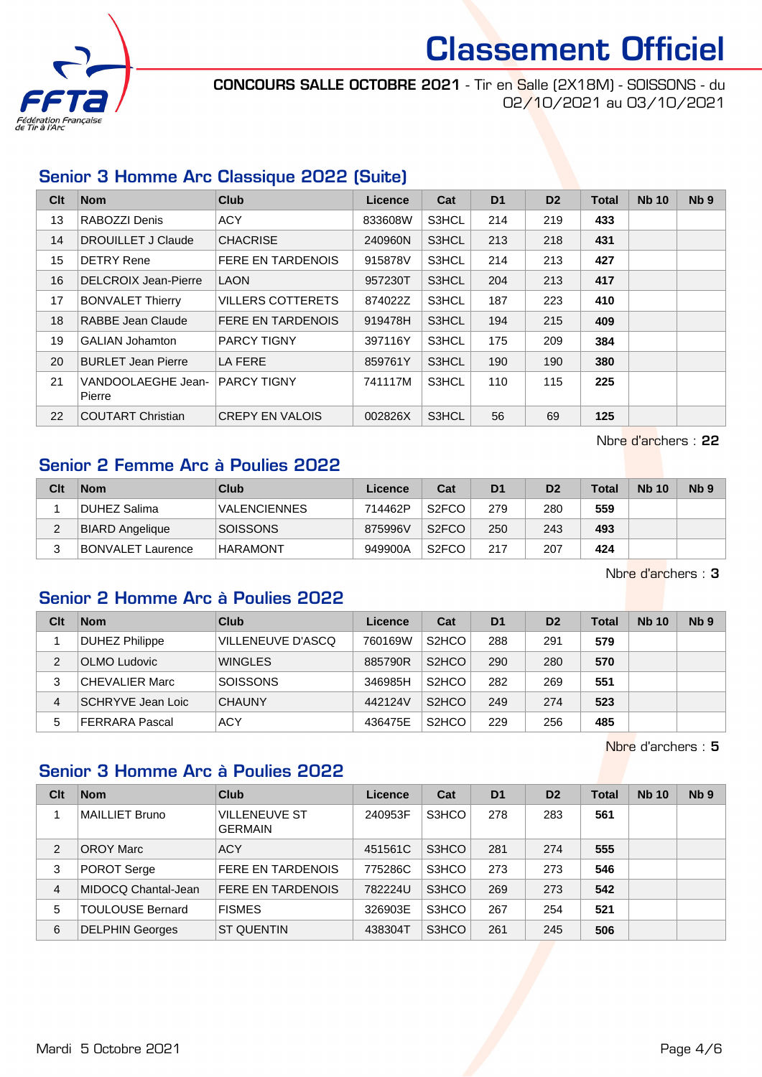

CONCOURS SALLE OCTOBRE 2021 - Tir en Salle (2X18M) - SOISSONS - du 02/10/2021 au 03/10/2021

#### Senior 3 Homme Arc Classique 2022 (Suite)

| Clt | <b>Nom</b>                   | <b>Club</b>              | Licence | Cat   | D <sub>1</sub> | D <sub>2</sub> | <b>Total</b> | <b>Nb 10</b> | Nb <sub>9</sub> |
|-----|------------------------------|--------------------------|---------|-------|----------------|----------------|--------------|--------------|-----------------|
| 13  | RABOZZI Denis                | <b>ACY</b>               | 833608W | S3HCL | 214            | 219            | 433          |              |                 |
| 14  | <b>DROUILLET J Claude</b>    | <b>CHACRISE</b>          | 240960N | S3HCL | 213            | 218            | 431          |              |                 |
| 15  | <b>DETRY Rene</b>            | <b>FERE EN TARDENOIS</b> | 915878V | S3HCL | 214            | 213            | 427          |              |                 |
| 16  | <b>DELCROIX Jean-Pierre</b>  | <b>LAON</b>              | 957230T | S3HCL | 204            | 213            | 417          |              |                 |
| 17  | <b>BONVALET Thierry</b>      | <b>VILLERS COTTERETS</b> | 874022Z | S3HCL | 187            | 223            | 410          |              |                 |
| 18  | RABBE Jean Claude            | <b>FERE EN TARDENOIS</b> | 919478H | S3HCL | 194            | 215            | 409          |              |                 |
| 19  | <b>GALIAN Johamton</b>       | <b>PARCY TIGNY</b>       | 397116Y | S3HCL | 175            | 209            | 384          |              |                 |
| 20  | <b>BURLET Jean Pierre</b>    | LA FERE                  | 859761Y | S3HCL | 190            | 190            | 380          |              |                 |
| 21  | VANDOOLAEGHE Jean-<br>Pierre | <b>PARCY TIGNY</b>       | 741117M | S3HCL | 110            | 115            | 225          |              |                 |
| 22  | <b>COUTART Christian</b>     | <b>CREPY EN VALOIS</b>   | 002826X | S3HCL | 56             | 69             | 125          |              |                 |

Nbre d'archers : 22

#### Senior 2 Femme Arc à Poulies 2022

| Clt | <b>Nom</b>               | <b>Club</b>         | Licence | Cat                | D <sub>1</sub> | D <sub>2</sub> | Total | <b>Nb 10</b> | N <sub>b</sub> <sub>9</sub> |
|-----|--------------------------|---------------------|---------|--------------------|----------------|----------------|-------|--------------|-----------------------------|
|     | DUHEZ Salima             | <b>VALENCIENNES</b> | 714462P | S <sub>2</sub> FCO | 279            | 280            | 559   |              |                             |
| ∠   | <b>BIARD Angelique</b>   | <b>SOISSONS</b>     | 875996V | S <sub>2</sub> FCO | 250            | 243            | 493   |              |                             |
|     | <b>BONVALET Laurence</b> | HARAMONT            | 949900A | S <sub>2</sub> FCO | 217            | 207            | 424   |              |                             |

Nbre d'archers : 3

#### Senior 2 Homme Arc à Poulies 2022

| Clt | <b>Nom</b>            | Club              | Licence | Cat                             | D <sub>1</sub> | D <sub>2</sub> | <b>Total</b> | <b>Nb 10</b> | Nb <sub>9</sub> |
|-----|-----------------------|-------------------|---------|---------------------------------|----------------|----------------|--------------|--------------|-----------------|
|     | <b>DUHEZ Philippe</b> | VILLENEUVE D'ASCQ | 760169W | S <sub>2</sub> H <sub>CO</sub>  | 288            | 291            | 579          |              |                 |
| 2   | OLMO Ludovic          | <b>WINGLES</b>    | 885790R | S <sub>2</sub> H <sub>CO</sub>  | 290            | 280            | 570          |              |                 |
| 3   | <b>CHEVALIER Marc</b> | <b>SOISSONS</b>   | 346985H | S <sub>2</sub> H <sub>CO</sub>  | 282            | 269            | 551          |              |                 |
| 4   | SCHRYVE Jean Loic     | <b>CHAUNY</b>     | 442124V | S <sub>2</sub> H <sub>C</sub> O | 249            | 274            | 523          |              |                 |
| 5   | <b>FERRARA Pascal</b> | <b>ACY</b>        | 436475E | S <sub>2</sub> H <sub>CO</sub>  | 229            | 256            | 485          |              |                 |

Nbre d'archers : 5

#### Senior 3 Homme Arc à Poulies 2022

| Clt            | <b>Nom</b>              | Club                                   | Licence | Cat   | D <sub>1</sub> | D <sub>2</sub> | <b>Total</b> | <b>Nb 10</b> | N <sub>b</sub> <sub>9</sub> |
|----------------|-------------------------|----------------------------------------|---------|-------|----------------|----------------|--------------|--------------|-----------------------------|
|                | <b>MAILLIET Bruno</b>   | <b>VILLENEUVE ST</b><br><b>GERMAIN</b> | 240953F | S3HCO | 278            | 283            | 561          |              |                             |
| 2              | <b>OROY Marc</b>        | <b>ACY</b>                             | 451561C | S3HCO | 281            | 274            | 555          |              |                             |
| 3              | POROT Serge             | <b>FERE EN TARDENOIS</b>               | 775286C | S3HCO | 273            | 273            | 546          |              |                             |
| $\overline{4}$ | MIDOCO Chantal-Jean     | <b>FERE EN TARDENOIS</b>               | 782224U | S3HCO | 269            | 273            | 542          |              |                             |
| 5              | <b>TOULOUSE Bernard</b> | <b>FISMES</b>                          | 326903E | S3HCO | 267            | 254            | 521          |              |                             |
| 6              | <b>DELPHIN Georges</b>  | <b>ST QUENTIN</b>                      | 438304T | S3HCO | 261            | 245            | 506          |              |                             |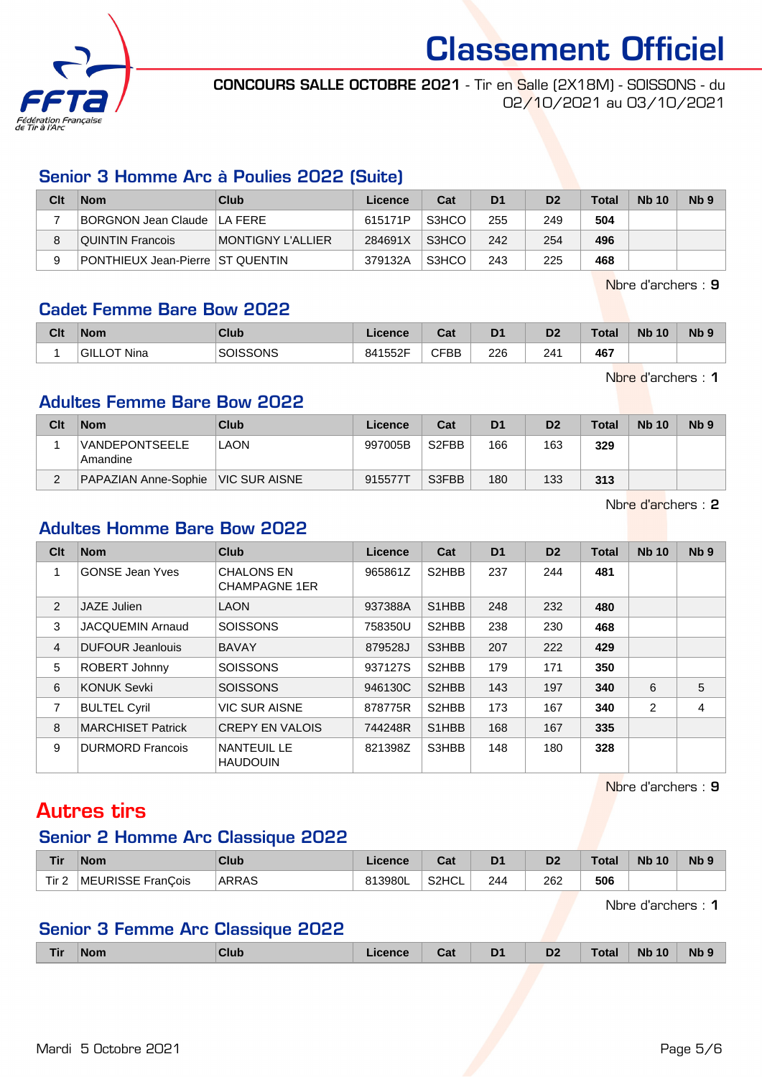

CONCOURS SALLE OCTOBRE 2021 - Tir en Salle (2X18M) - SOISSONS - du 02/10/2021 au 03/10/2021

#### Senior 3 Homme Arc à Poulies 2022 (Suite)

| Clt | <b>Nom</b>                         | Club              | Licence | Cat   | D1  | D <sub>2</sub> | <b>Total</b> | <b>Nb 10</b> | N <sub>b</sub> 9 |
|-----|------------------------------------|-------------------|---------|-------|-----|----------------|--------------|--------------|------------------|
|     | BORGNON Jean Claude ILA FERE       |                   | 615171P | S3HCO | 255 | 249            | 504          |              |                  |
|     | QUINTIN Francois                   | MONTIGNY L'ALLIER | 284691X | S3HCO | 242 | 254            | 496          |              |                  |
| 9   | PONTHIEUX Jean-Pierre   ST QUENTIN |                   | 379132A | S3HCO | 243 | 225            | 468          |              |                  |

Nbre d'archers : 9

#### Cadet Femme Bare Bow 2022

| Clt | <b>Nom</b>      | <b>Club</b>     | Licence | <b>Table</b><br>uai | D <sub>1</sub> | D <sub>2</sub> | <b>Total</b> | <b>N<sub>b</sub></b><br>10 | N <sub>b</sub> <sub>9</sub> |
|-----|-----------------|-----------------|---------|---------------------|----------------|----------------|--------------|----------------------------|-----------------------------|
|     | OT Nina<br>GILL | <b>SOISSONS</b> | 841552F | <b>CFBB</b><br>◡    | 226            | 241            | 467          |                            |                             |

Nbre d'archers : 1

#### Adultes Femme Bare Bow 2022

| Clt    | <b>Nom</b>                        | Club                 | Licence | Cat                | D <sub>1</sub> | D <sub>2</sub> | <b>Total</b> | <b>Nb 10</b> | N <sub>b</sub> <sub>9</sub> |
|--------|-----------------------------------|----------------------|---------|--------------------|----------------|----------------|--------------|--------------|-----------------------------|
|        | <b>VANDEPONTSEELE</b><br>Amandine | LAON                 | 997005B | S <sub>2</sub> FBB | 166            | 163            | 329          |              |                             |
| $\sim$ | PAPAZIAN Anne-Sophie              | <b>VIC SUR AISNE</b> | 915577T | S3FBB              | 180            | 133            | 313          |              |                             |

Nbre d'archers : 2

#### Adultes Homme Bare Bow 2022

| Clt            | <b>Nom</b>               | <b>Club</b>                               | Licence | Cat                            | D <sub>1</sub> | D <sub>2</sub> | <b>Total</b> | <b>Nb 10</b>   | Nb <sub>9</sub> |
|----------------|--------------------------|-------------------------------------------|---------|--------------------------------|----------------|----------------|--------------|----------------|-----------------|
|                | <b>GONSE Jean Yves</b>   | <b>CHALONS EN</b><br><b>CHAMPAGNE 1ER</b> | 965861Z | S2HBB                          | 237            | 244            | 481          |                |                 |
| 2              | JAZE Julien              | <b>LAON</b>                               | 937388A | S <sub>1</sub> HBB             | 248            | 232            | 480          |                |                 |
| 3              | <b>JACQUEMIN Arnaud</b>  | <b>SOISSONS</b>                           | 758350U | S <sub>2</sub> HBB             | 238            | 230            | 468          |                |                 |
| $\overline{4}$ | <b>DUFOUR Jeanlouis</b>  | <b>BAVAY</b>                              | 879528J | S3HBB                          | 207            | 222            | 429          |                |                 |
| 5              | ROBERT Johnny            | <b>SOISSONS</b>                           | 937127S | S2HBB                          | 179            | 171            | 350          |                |                 |
| 6              | <b>KONUK Sevki</b>       | <b>SOISSONS</b>                           | 946130C | S <sub>2</sub> HBB             | 143            | 197            | 340          | 6              | 5               |
| 7              | <b>BULTEL Cyril</b>      | <b>VIC SUR AISNE</b>                      | 878775R | S <sub>2</sub> HBB             | 173            | 167            | 340          | $\overline{2}$ | 4               |
| 8              | <b>MARCHISET Patrick</b> | <b>CREPY EN VALOIS</b>                    | 744248R | S <sub>1</sub> H <sub>BB</sub> | 168            | 167            | 335          |                |                 |
| 9              | <b>DURMORD Francois</b>  | <b>NANTEUIL LE</b><br><b>HAUDOUIN</b>     | 821398Z | S3HBB                          | 148            | 180            | 328          |                |                 |

Nbre d'archers : 9

## Autres tirs

#### Senior 2 Homme Arc Classique 2022

| Tir              | <b>Nom</b>        | Club  | Licence | ∩~'<br>⊍aι         | D <sub>1</sub> | D <sub>2</sub> | ™otal | <b>Nb 10</b> | Nb <sub>9</sub> |
|------------------|-------------------|-------|---------|--------------------|----------------|----------------|-------|--------------|-----------------|
| Tir <sub>2</sub> | MEURISSE FranCois | ARRAS | 813980L | S <sub>2</sub> HCL | 244            | 262            | 506   |              |                 |

Nbre d'archers : 1

#### Senior 3 Femme Arc Classique 2022

| Tir | <b>Nom</b> | Club | <b>ICANCE</b> | Jd. | D <sub>1</sub><br>- | D <sub>2</sub> | المفحلا<br>ota | 10<br><b>Nb</b> | <b>Nb</b> |
|-----|------------|------|---------------|-----|---------------------|----------------|----------------|-----------------|-----------|
|     |            |      |               |     |                     |                |                |                 |           |